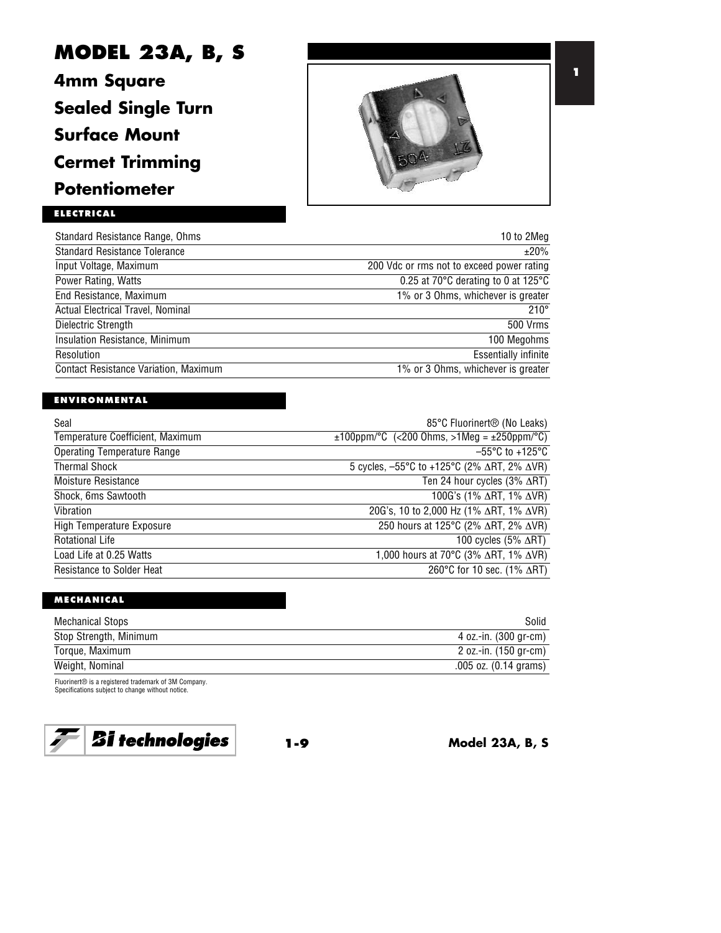# **MODEL 23A, B, S**

**4mm Square Sealed Single Turn Surface Mount Cermet Trimming Potentiometer**



## **ELECTRICAL**

| Standard Resistance Range, Ohms              | 10 to 2Meg                                              |
|----------------------------------------------|---------------------------------------------------------|
| <b>Standard Resistance Tolerance</b>         | ±20%                                                    |
| Input Voltage, Maximum                       | 200 Vdc or rms not to exceed power rating               |
| Power Rating, Watts                          | 0.25 at 70 $\degree$ C derating to 0 at 125 $\degree$ C |
| End Resistance, Maximum                      | 1% or 3 Ohms, whichever is greater                      |
| Actual Electrical Travel, Nominal            | $210^\circ$                                             |
| Dielectric Strength                          | 500 Vrms                                                |
| Insulation Resistance, Minimum               | 100 Megohms                                             |
| Resolution                                   | <b>Essentially infinite</b>                             |
| <b>Contact Resistance Variation, Maximum</b> | 1% or 3 Ohms, whichever is greater                      |

### **ENVIRONMENTAL**

| Seal                               | 85°C Fluorinert <sup>®</sup> (No Leaks)                              |
|------------------------------------|----------------------------------------------------------------------|
| Temperature Coefficient, Maximum   | $\pm 100$ ppm/°C (<200 Ohms, >1Meg = $\pm 250$ ppm/°C)               |
| <b>Operating Temperature Range</b> | $-55^{\circ}$ C to +125 $^{\circ}$ C                                 |
| <b>Thermal Shock</b>               | 5 cycles, $-55^{\circ}$ C to +125°C (2% $\Delta$ RT, 2% $\Delta$ VR) |
| Moisture Resistance                | Ten 24 hour cycles $(3\% \triangle RT)$                              |
| Shock, 6ms Sawtooth                | 100G's (1% ΔRT, 1% ΔVR)                                              |
| Vibration                          | 20G's, 10 to 2,000 Hz (1% $\Delta$ RT, 1% $\Delta$ VR)               |
| <b>High Temperature Exposure</b>   | 250 hours at 125°C (2% ∆RT, 2% ∆VR)                                  |
| <b>Rotational Life</b>             | 100 cycles $(5\% \ \Delta RT)$                                       |
| Load Life at 0.25 Watts            | 1,000 hours at 70°C (3% ∆RT, 1% ∆VR)                                 |
| <b>Resistance to Solder Heat</b>   | 260°C for 10 sec. (1% $\triangle$ RT)                                |

## **MECHANICAL**

| Mechanical Stops       | Solid                     |
|------------------------|---------------------------|
| Stop Strength, Minimum | 4 oz.-in. (300 gr-cm)     |
| Torque, Maximum        | 2 oz.-in. (150 gr-cm)     |
| Weight, Nominal        | $.005$ oz. $(0.14$ grams) |

Fluorinert® is a registered trademark of 3M Company. Specifications subject to change without notice.



**1-9 Model 23A, B, S**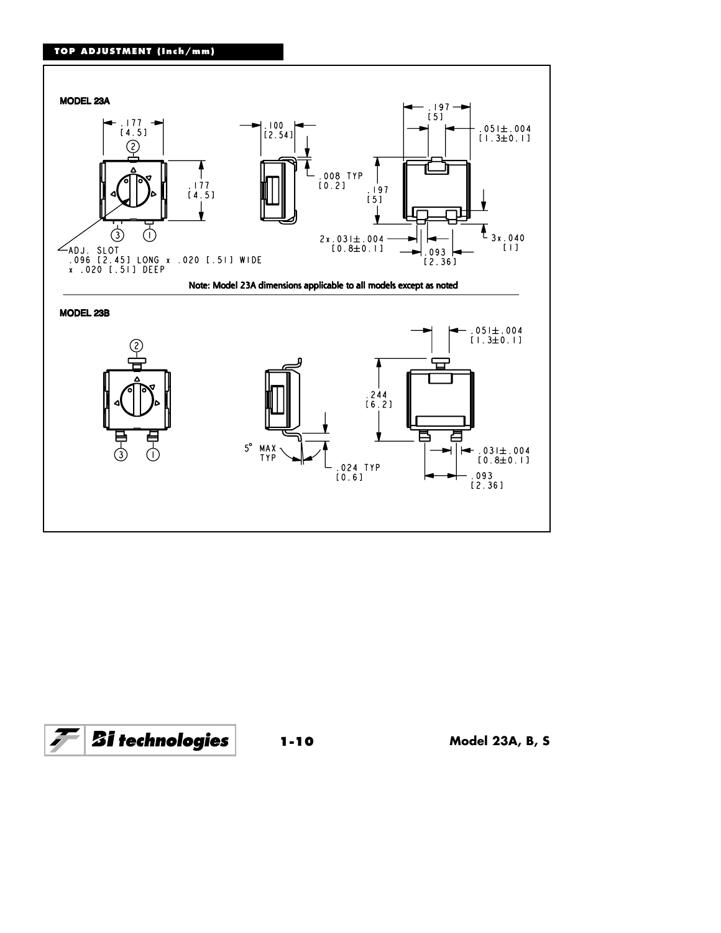## **TOP ADJUSTMENT (Inch/mm)**





**1-10 Model 23A, B, S**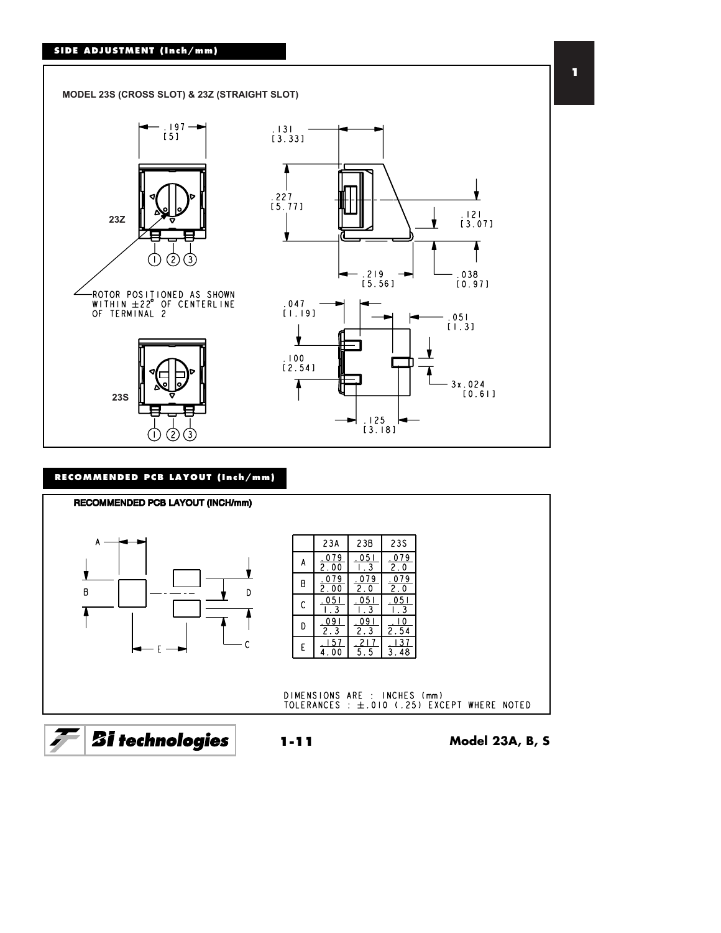#### **SIDE ADJUSTMENT (Inch/mm)**



#### **RECOMMENDED PCB LAYOUT (Inch/mm)**



**1**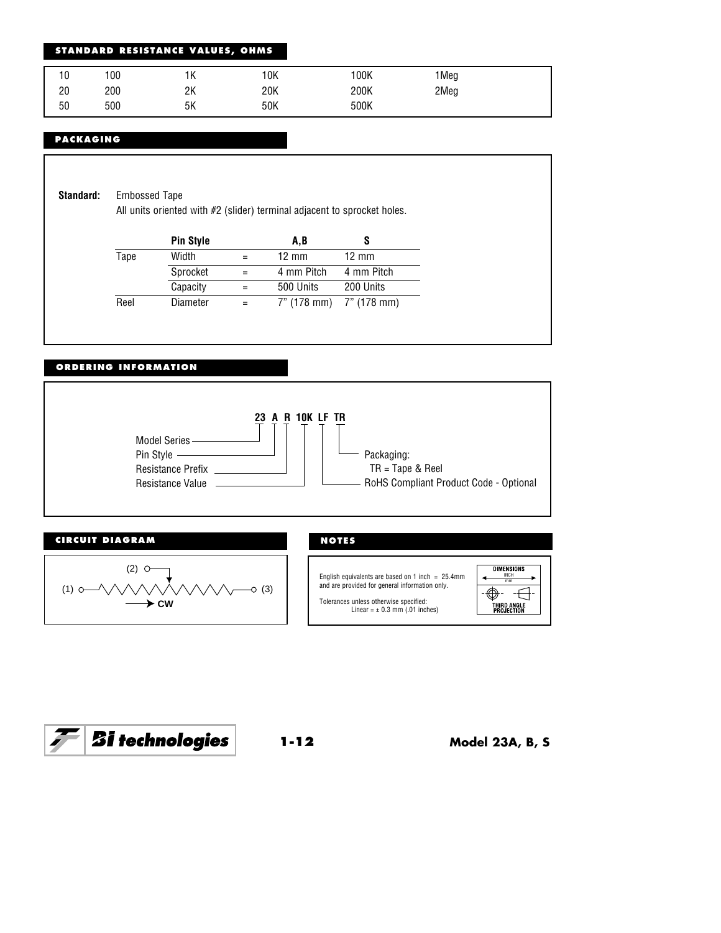#### **STANDARD RESISTANCE VALUES, OHMS**

| 10<br>U | 100 | 1Κ | 10K | 100K | 1Meg |  |
|---------|-----|----|-----|------|------|--|
| 20      | 200 | 2Κ | 20K | 200K | 2Meg |  |
| 50      | 500 | 5Κ | 50K | 500K |      |  |

#### **PACKAGING**

**Standard:** Embossed Tape

All units oriented with #2 (slider) terminal adjacent to sprocket holes.

| <b>Pin Style</b> | A.B             |                         |
|------------------|-----------------|-------------------------|
| Width            | $12 \text{ mm}$ | $12 \text{ mm}$         |
| Sprocket         | 4 mm Pitch      | 4 mm Pitch              |
| Capacity         | 500 Units       | 200 Units               |
| Diameter         |                 |                         |
|                  |                 | 7" (178 mm) 7" (178 mm) |

#### **ORDERING INFORMATION**





**DIMENSIONS** English equivalents are based on 1 inch = 25.4mm  $\left\{\leftarrow\frac{\text{INCH}}{\text{mm}}\right\}$ mm  $\overline{\bigoplus}$   $\overline{\bigoplus}$ Tolerances unless otherwise specified: Linear = ± 0.3 mm (.01 inches) THIRD ANGLE<br>PROJECTION

 $\left| {\cal F} \right|$   ${\bf \mathit{Si}}$  technologies

**1-12 Model 23A, B, S**